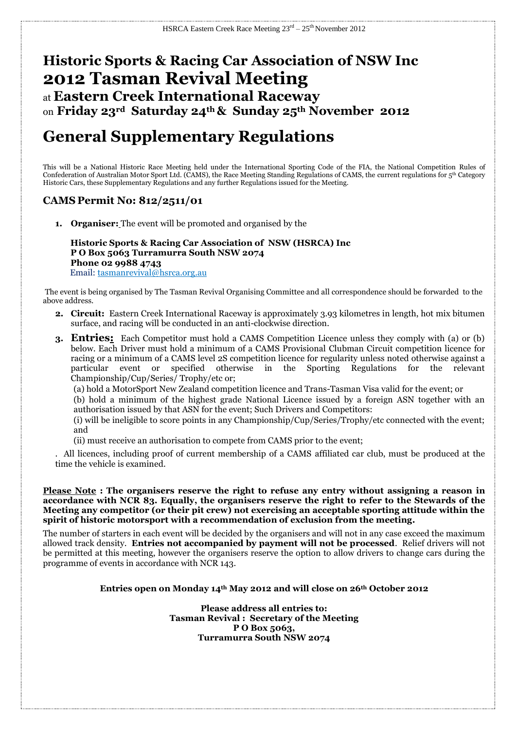## **Historic Sports & Racing Car Association of NSW Inc 2012 Tasman Revival Meeting** at **Eastern Creek International Raceway** on **Friday 23rd Saturday 24th & Sunday 25th November 2012**

# **General Supplementary Regulations**

This will be a National Historic Race Meeting held under the International Sporting Code of the FIA, the National Competition Rules of Confederation of Australian Motor Sport Ltd. (CAMS), the Race Meeting Standing Regulations of CAMS, the current regulations for 5<sup>th</sup> Category Historic Cars, these Supplementary Regulations and any further Regulations issued for the Meeting.

## **CAMS Permit No: 812/2511/01**

**1. Organiser:** The event will be promoted and organised by the

 **Historic Sports & Racing Car Association of NSW (HSRCA) Inc P O Box 5063 Turramurra South NSW 2074 Phone 02 9988 4743** Email: tasmanrevival@hsrca.org.au

The event is being organised by The Tasman Revival Organising Committee and all correspondence should be forwarded to the above address.

- **2. Circuit:** Eastern Creek International Raceway is approximately 3.93 kilometres in length, hot mix bitumen surface, and racing will be conducted in an anti-clockwise direction.
- **3. Entries:** Each Competitor must hold a CAMS Competition Licence unless they comply with (a) or (b) below. Each Driver must hold a minimum of a CAMS Provisional Clubman Circuit competition licence for racing or a minimum of a CAMS level 2S competition licence for regularity unless noted otherwise against a particular event or specified otherwise in the Sporting Regulations for the relevant Championship/Cup/Series/ Trophy/etc or;

(a) hold a MotorSport New Zealand competition licence and Trans-Tasman Visa valid for the event; or

(b) hold a minimum of the highest grade National Licence issued by a foreign ASN together with an authorisation issued by that ASN for the event; Such Drivers and Competitors:

(i) will be ineligible to score points in any Championship/Cup/Series/Trophy/etc connected with the event; and

(ii) must receive an authorisation to compete from CAMS prior to the event;

. All licences, including proof of current membership of a CAMS affiliated car club, must be produced at the time the vehicle is examined.

**Please Note : The organisers reserve the right to refuse any entry without assigning a reason in accordance with NCR 83. Equally, the organisers reserve the right to refer to the Stewards of the Meeting any competitor (or their pit crew) not exercising an acceptable sporting attitude within the spirit of historic motorsport with a recommendation of exclusion from the meeting.** 

The number of starters in each event will be decided by the organisers and will not in any case exceed the maximum allowed track density. **Entries not accompanied by payment will not be processed**. Relief drivers will not be permitted at this meeting, however the organisers reserve the option to allow drivers to change cars during the programme of events in accordance with NCR 143.

## **Entries open on Monday 14th May 2012 and will close on 26th October 2012**

**Please address all entries to: Tasman Revival : Secretary of the Meeting P O Box 5063, Turramurra South NSW 2074**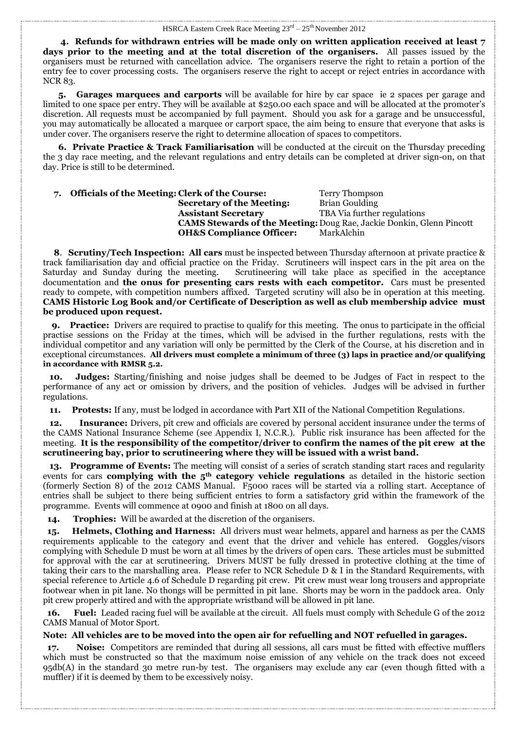#### HSRCA Eastern Creek Race Meeting  $23^{\text{rd}} - 25^{\text{th}}$  November 2012

 **4. Refunds for withdrawn entries will be made only on written application received at least 7 days prior to the meeting and at the total discretion of the organisers.** All passes issued by the organisers must be returned with cancellation advice. The organisers reserve the right to retain a portion of the entry fee to cover processing costs. The organisers reserve the right to accept or reject entries in accordance with NCR 83.

 **5. Garages marquees and carports** will be available for hire by car space ie 2 spaces per garage and limited to one space per entry. They will be available at \$250.00 each space and will be allocated at the promoter's discretion. All requests must be accompanied by full payment. Should you ask for a garage and be unsuccessful, you may automatically be allocated a marquee or carport space, the aim being to ensure that everyone that asks is under cover. The organisers reserve the right to determine allocation of spaces to competitors.

 **6. Private Practice & Track Familiarisation** will be conducted at the circuit on the Thursday preceding the 3 day race meeting, and the relevant regulations and entry details can be completed at driver sign-on, on that day. Price is still to be determined.

## **7. Officials of the Meeting: Clerk of the Course:** Terry Thompson **Secretary of the Meeting: Assistant Secretary** TBA Via further regulations **CAMS Stewards of the Meeting:**Doug Rae, Jackie Donkin, Glenn Pincott **OH&S Compliance Officer:** MarkAlchin

 **8**. **Scrutiny/Tech Inspection: All cars** must be inspected between Thursday afternoon at private practice & track familiarisation day and official practice on the Friday. Scrutineers will inspect cars in the pit area on the Saturday and Sunday during the meeting. Scrutineering will take place as specified in the acceptance documentation and **the onus for presenting cars rests with each competitor.** Cars must be presented ready to compete, with competition numbers affixed. Targeted scrutiny will also be in operation at this meeting. **CAMS Historic Log Book and/or Certificate of Description as well as club membership advice must be produced upon request.**

 **9. Practice:** Drivers are required to practise to qualify for this meeting. The onus to participate in the official practise sessions on the Friday at the times, which will be advised in the further regulations, rests with the individual competitor and any variation will only be permitted by the Clerk of the Course, at his discretion and in exceptional circumstances. **All drivers must complete a minimum of three (3) laps in practice and/or qualifying in accordance with RMSR 5.2.**

**Judges:** Starting/finishing and noise judges shall be deemed to be Judges of Fact in respect to the performance of any act or omission by drivers, and the position of vehicles. Judges will be advised in further regulations.

 **11. Protests:** If any, must be lodged in accordance with Part XII of the National Competition Regulations.

**12. Insurance:** Drivers, pit crew and officials are covered by personal accident insurance under the terms of the CAMS National Insurance Scheme (see Appendix I, N.C.R.). Public risk insurance has been affected for the meeting. **It is the responsibility of the competitor/driver to confirm the names of the pit crew at the scrutineering bay, prior to scrutineering where they will be issued with a wrist band.**

 **13. Programme of Events:** The meeting will consist of a series of scratch standing start races and regularity events for cars **complying with the 5th category vehicle regulations** as detailed in the historic section (formerly Section 8) of the 2012 CAMS Manual. F5000 races will be started via a rolling start. Acceptance of entries shall be subject to there being sufficient entries to form a satisfactory grid within the framework of the programme. Events will commence at 0900 and finish at 1800 on all days.

 **14. Trophies:** Will be awarded at the discretion of the organisers.

 **15. Helmets, Clothing and Harness:** All drivers must wear helmets, apparel and harness as per the CAMS requirements applicable to the category and event that the driver and vehicle has entered. Goggles/visors complying with Schedule D must be worn at all times by the drivers of open cars. These articles must be submitted for approval with the car at scrutineering. Drivers MUST be fully dressed in protective clothing at the time of taking their cars to the marshalling area. Please refer to NCR Schedule D & I in the Standard Requirements, with special reference to Article 4.6 of Schedule D regarding pit crew. Pit crew must wear long trousers and appropriate footwear when in pit lane. No thongs will be permitted in pit lane. Shorts may be worn in the paddock area. Only pit crew properly attired and with the appropriate wristband will be allowed in pit lane.

 **16. Fuel:** Leaded racing fuel will be available at the circuit. All fuels must comply with Schedule G of the 2012 CAMS Manual of Motor Sport.

## **Note: All vehicles are to be moved into the open air for refuelling and NOT refuelled in garages.**

 **17. Noise:** Competitors are reminded that during all sessions, all cars must be fitted with effective mufflers which must be constructed so that the maximum noise emission of any vehicle on the track does not exceed 95db(A) in the standard 30 metre run-by test. The organisers may exclude any car (even though fitted with a muffler) if it is deemed by them to be excessively noisy.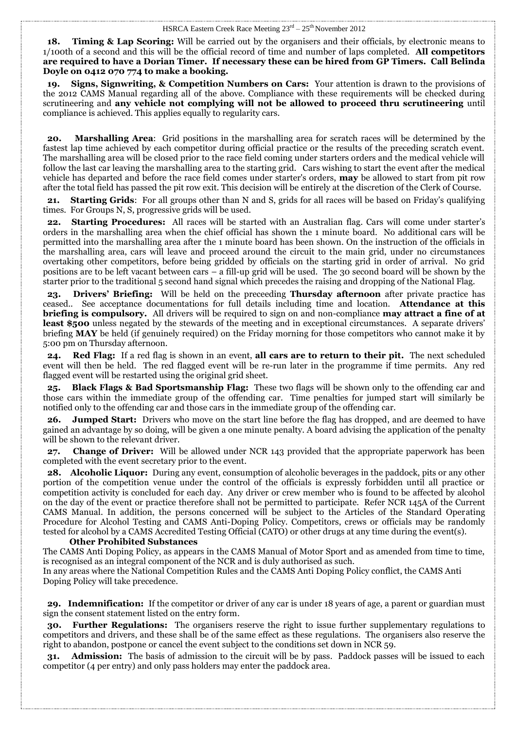**18. Timing & Lap Scoring:** Will be carried out by the organisers and their officials, by electronic means to 1/100th of a second and this will be the official record of time and number of laps completed. **All competitors are required to have a Dorian Timer. If necessary these can be hired from GP Timers. Call Belinda Doyle on 0412 070 774 to make a booking.**

 **19. Signs, Signwriting, & Competition Numbers on Cars:** Your attention is drawn to the provisions of the 2012 CAMS Manual regarding all of the above. Compliance with these requirements will be checked during scrutineering and **any vehicle not complying will not be allowed to proceed thru scrutineering** until compliance is achieved. This applies equally to regularity cars.

**20. Marshalling Area**: Grid positions in the marshalling area for scratch races will be determined by the fastest lap time achieved by each competitor during official practice or the results of the preceding scratch event. The marshalling area will be closed prior to the race field coming under starters orders and the medical vehicle will follow the last car leaving the marshalling area to the starting grid. Cars wishing to start the event after the medical vehicle has departed and before the race field comes under starter's orders, **may** be allowed to start from pit row after the total field has passed the pit row exit. This decision will be entirely at the discretion of the Clerk of Course.

 **21. Starting Grids**: For all groups other than N and S, grids for all races will be based on Friday's qualifying times. For Groups N, S, progressive grids will be used.

 **22. Starting Procedures:** All races will be started with an Australian flag. Cars will come under starter's orders in the marshalling area when the chief official has shown the 1 minute board. No additional cars will be permitted into the marshalling area after the 1 minute board has been shown. On the instruction of the officials in the marshalling area, cars will leave and proceed around the circuit to the main grid, under no circumstances overtaking other competitors, before being gridded by officials on the starting grid in order of arrival. No grid positions are to be left vacant between cars – a fill-up grid will be used. The 30 second board will be shown by the starter prior to the traditional 5 second hand signal which precedes the raising and dropping of the National Flag.

 **23. Drivers' Briefing:** Will be held on the preceeding **Thursday afternoon** after private practice has ceased.. See acceptance documentations for full details including time and location. **Attendance at this briefing is compulsory.** All drivers will be required to sign on and non-compliance **may attract a fine of at least \$500** unless negated by the stewards of the meeting and in exceptional circumstances.A separate drivers' briefing **MAY** be held (if genuinely required) on the Friday morning for those competitors who cannot make it by 5:00 pm on Thursday afternoon.

 **24. Red Flag:** If a red flag is shown in an event, **all cars are to return to their pit***.* The next scheduled event will then be held. The red flagged event will be re-run later in the programme if time permits. Any red flagged event will be restarted using the original grid sheet.

 **25. Black Flags & Bad Sportsmanship Flag:** These two flags will be shown only to the offending car and those cars within the immediate group of the offending car. Time penalties for jumped start will similarly be notified only to the offending car and those cars in the immediate group of the offending car.

 **26. Jumped Start:** Drivers who move on the start line before the flag has dropped, and are deemed to have gained an advantage by so doing, will be given a one minute penalty. A board advising the application of the penalty will be shown to the relevant driver.

 **27. Change of Driver:** Will be allowed under NCR 143 provided that the appropriate paperwork has been completed with the event secretary prior to the event.

 **28. Alcoholic Liquor:** During any event, consumption of alcoholic beverages in the paddock, pits or any other portion of the competition venue under the control of the officials is expressly forbidden until all practice or competition activity is concluded for each day. Any driver or crew member who is found to be affected by alcohol on the day of the event or practice therefore shall not be permitted to participate. Refer NCR 145A of the Current CAMS Manual. In addition, the persons concerned will be subject to the Articles of the Standard Operating Procedure for Alcohol Testing and CAMS Anti-Doping Policy. Competitors, crews or officials may be randomly tested for alcohol by a CAMS Accredited Testing Official (CATO) or other drugs at any time during the event(s).

#### **Other Prohibited Substances**

The CAMS Anti Doping Policy, as appears in the CAMS Manual of Motor Sport and as amended from time to time, is recognised as an integral component of the NCR and is duly authorised as such.

In any areas where the National Competition Rules and the CAMS Anti Doping Policy conflict, the CAMS Anti Doping Policy will take precedence.

 **29. Indemnification:** If the competitor or driver of any car is under 18 years of age, a parent or guardian must sign the consent statement listed on the entry form.

 **30. Further Regulations:** The organisers reserve the right to issue further supplementary regulations to competitors and drivers, and these shall be of the same effect as these regulations. The organisers also reserve the right to abandon, postpone or cancel the event subject to the conditions set down in NCR 59.

 **31. Admission:** The basis of admission to the circuit will be by pass. Paddock passes will be issued to each competitor (4 per entry) and only pass holders may enter the paddock area.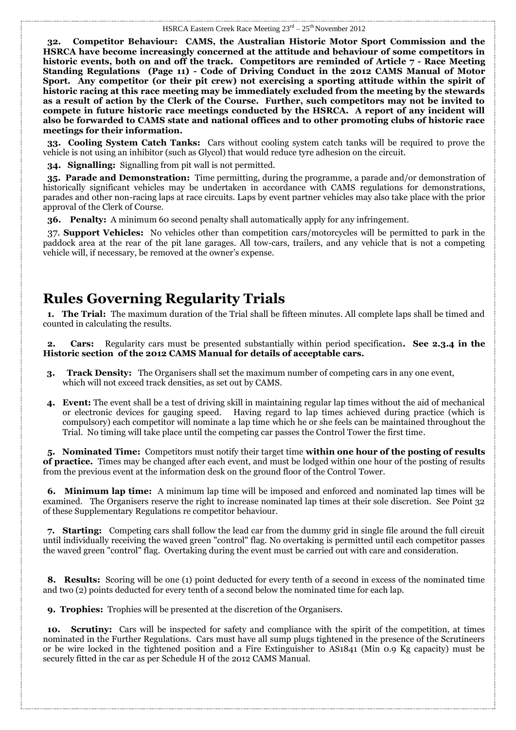**32. Competitor Behaviour: CAMS, the Australian Historic Motor Sport Commission and the HSRCA have become increasingly concerned at the attitude and behaviour of some competitors in historic events, both on and off the track. Competitors are reminded of Article 7 - Race Meeting Standing Regulations (Page 11) - Code of Driving Conduct in the 2012 CAMS Manual of Motor Sport. Any competitor (or their pit crew) not exercising a sporting attitude within the spirit of historic racing at this race meeting may be immediately excluded from the meeting by the stewards as a result of action by the Clerk of the Course. Further, such competitors may not be invited to compete in future historic race meetings conducted by the HSRCA. A report of any incident will also be forwarded to CAMS state and national offices and to other promoting clubs of historic race meetings for their information.** 

 **33. Cooling System Catch Tanks:** Cars without cooling system catch tanks will be required to prove the vehicle is not using an inhibitor (such as Glycol) that would reduce tyre adhesion on the circuit.

 **34. Signalling:** Signalling from pit wall is not permitted.

 **35. Parade and Demonstration:** Time permitting, during the programme, a parade and/or demonstration of historically significant vehicles may be undertaken in accordance with CAMS regulations for demonstrations, parades and other non-racing laps at race circuits. Laps by event partner vehicles may also take place with the prior approval of the Clerk of Course.

 **36. Penalty:** A minimum 60 second penalty shall automatically apply for any infringement.

 37. **Support Vehicles:** No vehicles other than competition cars/motorcycles will be permitted to park in the paddock area at the rear of the pit lane garages. All tow-cars, trailers, and any vehicle that is not a competing vehicle will, if necessary, be removed at the owner's expense.

## **Rules Governing Regularity Trials**

 **1. The Trial:** The maximum duration of the Trial shall be fifteen minutes. All complete laps shall be timed and counted in calculating the results.

 **2. Cars:** Regularity cars must be presented substantially within period specification**. See 2.3.4 in the Historic section of the 2012 CAMS Manual for details of acceptable cars.**

- **3. Track Density:** The Organisers shall set the maximum number of competing cars in any one event, which will not exceed track densities, as set out by CAMS.
- **4. Event:** The event shall be a test of driving skill in maintaining regular lap times without the aid of mechanical or electronic devices for gauging speed. Having regard to lap times achieved during practice (which is compulsory) each competitor will nominate a lap time which he or she feels can be maintained throughout the Trial. No timing will take place until the competing car passes the Control Tower the first time.

 **5. Nominated Time:** Competitors must notify their target time **within one hour of the posting of results of practice.** Times may be changed after each event, and must be lodged within one hour of the posting of results from the previous event at the information desk on the ground floor of the Control Tower.

 **6. Minimum lap time:** A minimum lap time will be imposed and enforced and nominated lap times will be examined. The Organisers reserve the right to increase nominated lap times at their sole discretion. See Point 32 of these Supplementary Regulations re competitor behaviour.

 **7. Starting:** Competing cars shall follow the lead car from the dummy grid in single file around the full circuit until individually receiving the waved green "control" flag. No overtaking is permitted until each competitor passes the waved green "control" flag. Overtaking during the event must be carried out with care and consideration.

 **8. Results:** Scoring will be one (1) point deducted for every tenth of a second in excess of the nominated time and two (2) points deducted for every tenth of a second below the nominated time for each lap.

 **9. Trophies:** Trophies will be presented at the discretion of the Organisers.

**10. Scrutiny:** Cars will be inspected for safety and compliance with the spirit of the competition, at times nominated in the Further Regulations. Cars must have all sump plugs tightened in the presence of the Scrutineers or be wire locked in the tightened position and a Fire Extinguisher to AS1841 (Min 0.9 Kg capacity) must be securely fitted in the car as per Schedule H of the 2012 CAMS Manual.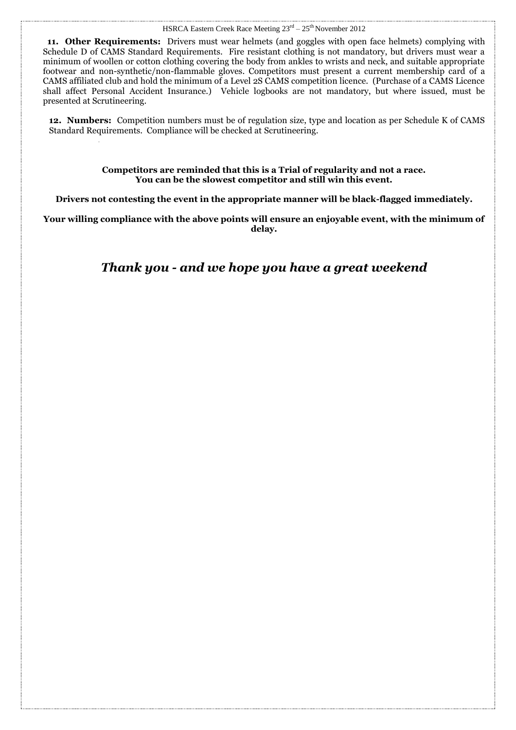**11. Other Requirements:** Drivers must wear helmets (and goggles with open face helmets) complying with Schedule D of CAMS Standard Requirements. Fire resistant clothing is not mandatory, but drivers must wear a minimum of woollen or cotton clothing covering the body from ankles to wrists and neck, and suitable appropriate footwear and non-synthetic/non-flammable gloves. Competitors must present a current membership card of a CAMS affiliated club and hold the minimum of a Level 2S CAMS competition licence. (Purchase of a CAMS Licence shall affect Personal Accident Insurance.) Vehicle logbooks are not mandatory, but where issued, must be presented at Scrutineering.

**12. Numbers:** Competition numbers must be of regulation size, type and location as per Schedule K of CAMS Standard Requirements. Compliance will be checked at Scrutineering.

> **Competitors are reminded that this is a Trial of regularity and not a race. You can be the slowest competitor and still win this event.**

**Drivers not contesting the event in the appropriate manner will be black-flagged immediately.** 

**Your willing compliance with the above points will ensure an enjoyable event, with the minimum of delay.**

*Thank you - and we hope you have a great weekend*